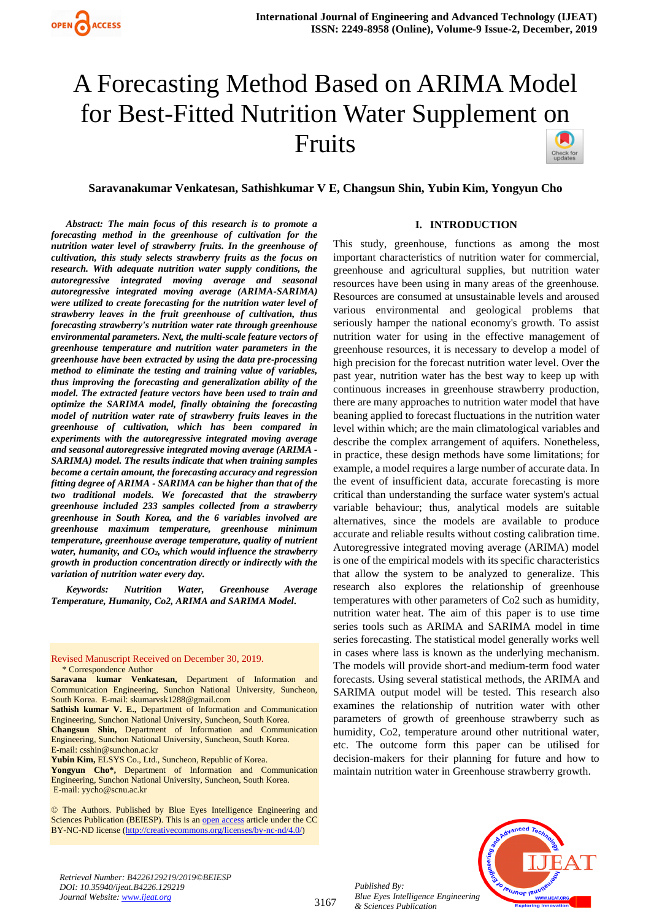# A Forecasting Method Based on ARIMA Model for Best-Fitted Nutrition Water Supplement on Fruits



*Abstract: The main focus of this research is to promote a forecasting method in the greenhouse of cultivation for the nutrition water level of strawberry fruits. In the greenhouse of cultivation, this study selects strawberry fruits as the focus on research. With adequate nutrition water supply conditions, the autoregressive integrated moving average and seasonal autoregressive integrated moving average (ARIMA-SARIMA) were utilized to create forecasting for the nutrition water level of strawberry leaves in the fruit greenhouse of cultivation, thus forecasting strawberry's nutrition water rate through greenhouse environmental parameters. Next, the multi-scale feature vectors of greenhouse temperature and nutrition water parameters in the greenhouse have been extracted by using the data pre-processing method to eliminate the testing and training value of variables, thus improving the forecasting and generalization ability of the model. The extracted feature vectors have been used to train and optimize the SARIMA model, finally obtaining the forecasting model of nutrition water rate of strawberry fruits leaves in the greenhouse of cultivation, which has been compared in experiments with the autoregressive integrated moving average and seasonal autoregressive integrated moving average (ARIMA - SARIMA) model. The results indicate that when training samples become a certain amount, the forecasting accuracy and regression fitting degree of ARIMA - SARIMA can be higher than that of the two traditional models. We forecasted that the strawberry greenhouse included 233 samples collected from a strawberry greenhouse in South Korea, and the 6 variables involved are greenhouse maximum temperature, greenhouse minimum temperature, greenhouse average temperature, quality of nutrient water, humanity, and CO2, which would influence the strawberry growth in production concentration directly or indirectly with the variation of nutrition water every day.*

*Keywords: Nutrition Water, Greenhouse Average Temperature, Humanity, Co2, ARIMA and SARIMA Model.*

#### Revised Manuscript Received on December 30, 2019. \* Correspondence Author

**Saravana kumar Venkatesan,** Department of Information and Communication Engineering, Sunchon National University, Suncheon, South Korea. E-mail: skumarvsk1288@gmail.com

**Sathish kumar V. E.,** Department of Information and Communication Engineering, Sunchon National University, Suncheon, South Korea.

**Changsun Shin,** Department of Information and Communication Engineering, Sunchon National University, Suncheon, South Korea. E-mail: csshin@sunchon.ac.kr

**Yubin Kim,** ELSYS Co., Ltd., Suncheon, Republic of Korea.

**Yongyun Cho\*,** Department of Information and Communication Engineering, Sunchon National University, Suncheon, South Korea. E-mail: yycho@scnu.ac.kr

© The Authors. Published by Blue Eyes Intelligence Engineering and Sciences Publication (BEIESP). This is a[n open access](https://www.openaccess.nl/en/open-publications) article under the CC BY-NC-ND license [\(http://creativecommons.org/licenses/by-nc-nd/4.0/\)](http://creativecommons.org/licenses/by-nc-nd/4.0/)

#### **I. INTRODUCTION**

This study, greenhouse, functions as among the most important characteristics of nutrition water for commercial, greenhouse and agricultural supplies, but nutrition water resources have been using in many areas of the greenhouse. Resources are consumed at unsustainable levels and aroused various environmental and geological problems that seriously hamper the national economy's growth. To assist nutrition water for using in the effective management of greenhouse resources, it is necessary to develop a model of high precision for the forecast nutrition water level. Over the past year, nutrition water has the best way to keep up with continuous increases in greenhouse strawberry production, there are many approaches to nutrition water model that have beaning applied to forecast fluctuations in the nutrition water level within which; are the main climatological variables and describe the complex arrangement of aquifers. Nonetheless, in practice, these design methods have some limitations; for example, a model requires a large number of accurate data. In the event of insufficient data, accurate forecasting is more critical than understanding the surface water system's actual variable behaviour; thus, analytical models are suitable alternatives, since the models are available to produce accurate and reliable results without costing calibration time. Autoregressive integrated moving average (ARIMA) model is one of the empirical models with its specific characteristics that allow the system to be analyzed to generalize. This research also explores the relationship of greenhouse temperatures with other parameters of Co2 such as humidity, nutrition water heat. The aim of this paper is to use time series tools such as ARIMA and SARIMA model in time series forecasting. The statistical model generally works well in cases where lass is known as the underlying mechanism. The models will provide short-and medium-term food water forecasts. Using several statistical methods, the ARIMA and SARIMA output model will be tested. This research also examines the relationship of nutrition water with other parameters of growth of greenhouse strawberry such as humidity, Co2, temperature around other nutritional water, etc. The outcome form this paper can be utilised for decision-makers for their planning for future and how to maintain nutrition water in Greenhouse strawberry growth.



*Retrieval Number: B4226129219/2019©BEIESP DOI: 10.35940/ijeat.B4226.129219 Journal Website[: www.ijeat.org](http://www.ijeat.org/)*

*Published By: Blue Eyes Intelligence Engineering & Sciences Publication*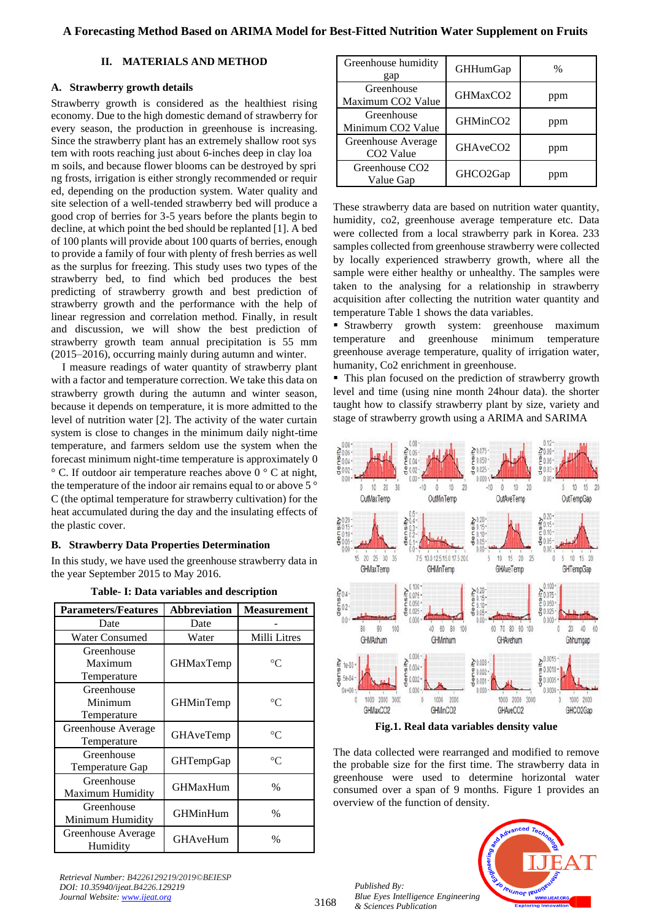## **II. MATERIALS AND METHOD**

## **A. Strawberry growth details**

Strawberry growth is considered as the healthiest rising economy. Due to the high domestic demand of strawberry for every season, the production in greenhouse is increasing. Since the strawberry plant has an extremely shallow root sys tem with roots reaching just about 6-inches deep in clay loa m soils, and because flower blooms can be destroyed by spri ng frosts, irrigation is either strongly recommended or requir ed, depending on the production system. Water quality and site selection of a well-tended strawberry bed will produce a good crop of berries for 3-5 years before the plants begin to decline, at which point the bed should be replanted [1]. A bed of 100 plants will provide about 100 quarts of berries, enough to provide a family of four with plenty of fresh berries as well as the surplus for freezing. This study uses two types of the strawberry bed, to find which bed produces the best predicting of strawberry growth and best prediction of strawberry growth and the performance with the help of linear regression and correlation method. Finally, in result and discussion, we will show the best prediction of strawberry growth team annual precipitation is 55 mm (2015–2016), occurring mainly during autumn and winter.

I measure readings of water quantity of strawberry plant with a factor and temperature correction. We take this data on strawberry growth during the autumn and winter season, because it depends on temperature, it is more admitted to the level of nutrition water [2]. The activity of the water curtain system is close to changes in the minimum daily night-time temperature, and farmers seldom use the system when the forecast minimum night-time temperature is approximately 0  $\degree$  C. If outdoor air temperature reaches above 0  $\degree$  C at night, the temperature of the indoor air remains equal to or above 5 ° C (the optimal temperature for strawberry cultivation) for the heat accumulated during the day and the insulating effects of the plastic cover.

## **B. Strawberry Data Properties Determination**

In this study, we have used the greenhouse strawberry data in the year September 2015 to May 2016.

| <b>Parameters/Features</b>           | <b>Abbreviation</b> | <b>Measurement</b> |  |
|--------------------------------------|---------------------|--------------------|--|
| Date                                 | Date                |                    |  |
| <b>Water Consumed</b>                | Water               | Milli Litres       |  |
| Greenhouse<br>Maximum<br>Temperature | <b>GHMaxTemp</b>    | $^{\circ}C$        |  |
| Greenhouse<br>Minimum<br>Temperature | GHMinTemp           | $^{\circ}C$        |  |
| Greenhouse Average<br>Temperature    | GHAveTemp           | $\rm ^{\circ}C$    |  |
| Greenhouse<br>Temperature Gap        | GHTempGap           | $^{\circ}C$        |  |
| Greenhouse<br>Maximum Humidity       | <b>GHMaxHum</b>     | $\%$               |  |
| Greenhouse<br>Minimum Humidity       | <b>GHMinHum</b>     | $\%$               |  |
| Greenhouse Average<br>Humidity       | GHAveHum            | %                  |  |

**Table- I: Data variables and description**

| Greenhouse humidity<br>gap                  | <b>GHHumGap</b>      | $\%$ |
|---------------------------------------------|----------------------|------|
| Greenhouse<br>Maximum CO2 Value             | GHMaxCO <sub>2</sub> | ppm  |
| Greenhouse<br>Minimum CO <sub>2</sub> Value | GHMinCO <sub>2</sub> | ppm  |
| Greenhouse Average<br>CO <sub>2</sub> Value | GHAveCO <sub>2</sub> | ppm  |
| Greenhouse CO <sub>2</sub><br>Value Gap     | GHCO2Gap             | ppm  |

These strawberry data are based on nutrition water quantity, humidity, co2, greenhouse average temperature etc. Data were collected from a local strawberry park in Korea. 233 samples collected from greenhouse strawberry were collected by locally experienced strawberry growth, where all the sample were either healthy or unhealthy. The samples were taken to the analysing for a relationship in strawberry acquisition after collecting the nutrition water quantity and temperature Table 1 shows the data variables.

**Exercise Strawberry** growth system: greenhouse maximum temperature and greenhouse minimum temperature greenhouse average temperature, quality of irrigation water, humanity, Co2 enrichment in greenhouse.

■ This plan focused on the prediction of strawberry growth level and time (using nine month 24hour data). the shorter taught how to classify strawberry plant by size, variety and stage of strawberry growth using a ARIMA and SARIMA



**Fig.1. Real data variables density value**

The data collected were rearranged and modified to remove the probable size for the first time. The strawberry data in greenhouse were used to determine horizontal water consumed over a span of 9 months. Figure 1 provides an overview of the function of density.

*Published By: Blue Eyes Intelligence Engineering & Sciences Publication* 



*Retrieval Number: B4226129219/2019©BEIESP DOI: 10.35940/ijeat.B4226.129219 Journal Website[: www.ijeat.org](http://www.ijeat.org/)*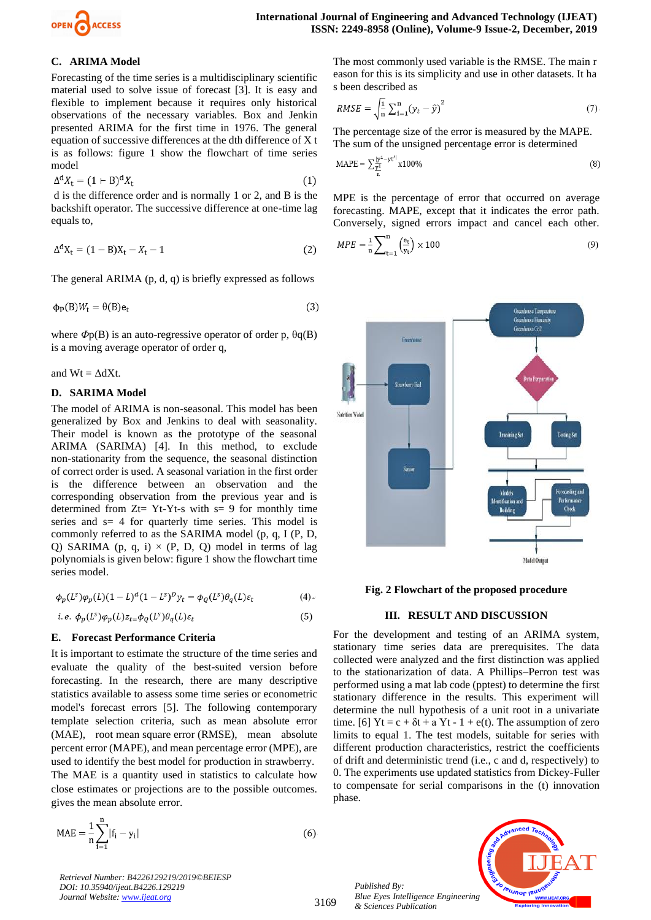

# **C. ARIMA Model**

Forecasting of the time series is a multidisciplinary scientific material used to solve issue of forecast [3]. It is easy and flexible to implement because it requires only historical observations of the necessary variables. Box and Jenkin presented ARIMA for the first time in 1976. The general equation of successive differences at the dth difference of X t is as follows: figure 1 show the flowchart of time series model

$$
\Delta^{\mathbf{d}} X_{\mathbf{t}} = (1 + \mathbf{B})^{\mathbf{d}} X_{\mathbf{t}} \tag{1}
$$

d is the difference order and is normally 1 or 2, and B is the backshift operator. The successive difference at one-time lag equals to,

$$
\Delta^{\mathbf{d}}X_t = (1 - B)X_t - X_t - 1\tag{2}
$$

The general ARIMA (p, d, q) is briefly expressed as follows

$$
\Phi_{\mathbf{P}}(\mathbf{B})W_{\mathbf{t}} = \Theta(\mathbf{B})\mathbf{e}_{\mathbf{t}} \tag{3}
$$

where *Φ*p(B) is an auto-regressive operator of order p, θq(B) is a moving average operator of order q,

and  $Wt = \Delta dXt$ .

#### **D. SARIMA Model**

The model of ARIMA is non-seasonal. This model has been generalized by Box and Jenkins to deal with seasonality. Their model is known as the prototype of the seasonal ARIMA (SARIMA) [4]. In this method, to exclude non-stationarity from the sequence, the seasonal distinction of correct order is used. A seasonal variation in the first order is the difference between an observation and the corresponding observation from the previous year and is determined from  $Zt= Yt-Yt-s$  with  $s= 9$  for monthly time series and  $s= 4$  for quarterly time series. This model is commonly referred to as the SARIMA model (p, q, I (P, D, Q) SARIMA (p, q, i)  $\times$  (P, D, Q) model in terms of lag polynomials is given below: figure 1 show the flowchart time series model.

$$
\phi_p(L^s)\phi_p(L)(1-L)^d(1-L^s)^D y_t = \phi_q(L^s)\theta_q(L)\varepsilon_t \tag{4}
$$

i.e. 
$$
\phi_p(L^s)\varphi_p(L)z_{t} = \phi_q(L^s)\theta_q(L)\varepsilon_t
$$
 (5)

#### **E. Forecast Performance Criteria**

It is important to estimate the structure of the time series and evaluate the quality of the best-suited version before forecasting. In the research, there are many descriptive statistics available to assess some time series or econometric model's forecast errors [5]. The following contemporary template selection criteria, such as mean absolute error (MAE), root mean square error (RMSE), mean absolute percent error (MAPE), and mean percentage error (MPE), are used to identify the best model for production in strawberry. The MAE is a quantity used in statistics to calculate how close estimates or projections are to the possible outcomes. gives the mean absolute error.

$$
\text{MAE} = \frac{1}{n} \sum_{i=1}^{n} |f_i - y_i|
$$

*Retrieval Number: B4226129219/2019©BEIESP DOI: 10.35940/ijeat.B4226.129219 Journal Website[: www.ijeat.org](http://www.ijeat.org/)*

The most commonly used variable is the RMSE. The main r eason for this is its simplicity and use in other datasets. It ha s been described as

$$
RMSE = \sqrt{\frac{1}{n}} \sum_{i=1}^{n} (y_t - \hat{y})^2
$$
 (7)

The percentage size of the error is measured by the MAPE. The sum of the unsigned percentage error is determined

$$
MAPE = \sum_{\frac{y}{n}}^{\frac{|y^1 - yt'|}{n}} x100\%
$$
 (8)

MPE is the percentage of error that occurred on average forecasting. MAPE, except that it indicates the error path. Conversely, signed errors impact and cancel each other.

$$
MPE = \frac{1}{n} \sum_{t=1}^{n} \left(\frac{e_t}{y_t}\right) \times 100\tag{9}
$$



**Fig. 2 Flowchart of the proposed procedure**

#### **III. RESULT AND DISCUSSION**

For the development and testing of an ARIMA system, stationary time series data are prerequisites. The data collected were analyzed and the first distinction was applied to the stationarization of data. A Phillips–Perron test was performed using a mat lab code (pptest) to determine the first stationary difference in the results. This experiment will determine the null hypothesis of a unit root in a univariate time. [6]  $Yt = c + \delta t + a Yt - 1 + e(t)$ . The assumption of zero limits to equal 1. The test models, suitable for series with different production characteristics, restrict the coefficients of drift and deterministic trend (i.e., c and d, respectively) to 0. The experiments use updated statistics from Dickey-Fuller to compensate for serial comparisons in the (t) innovation phase.

*Published By: Blue Eyes Intelligence Engineering & Sciences Publication* 



3169

 $(6)$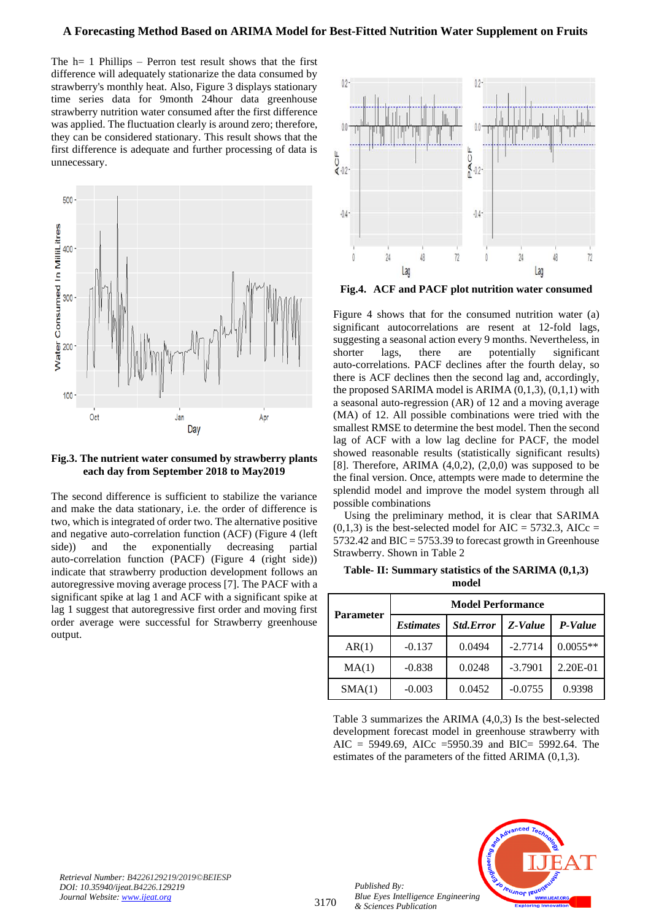## **A Forecasting Method Based on ARIMA Model for Best-Fitted Nutrition Water Supplement on Fruits**

The h= 1 Phillips – Perron test result shows that the first difference will adequately stationarize the data consumed by strawberry's monthly heat. Also, Figure 3 displays stationary time series data for 9month 24hour data greenhouse strawberry nutrition water consumed after the first difference was applied. The fluctuation clearly is around zero; therefore, they can be considered stationary. This result shows that the first difference is adequate and further processing of data is unnecessary.



## **Fig.3. The nutrient water consumed by strawberry plants each day from September 2018 to May2019**

The second difference is sufficient to stabilize the variance and make the data stationary, i.e. the order of difference is two, which is integrated of order two. The alternative positive and negative auto-correlation function (ACF) (Figure 4 (left side)) and the exponentially decreasing partial auto-correlation function (PACF) (Figure 4 (right side)) indicate that strawberry production development follows an autoregressive moving average process [7]. The PACF with a significant spike at lag 1 and ACF with a significant spike at lag 1 suggest that autoregressive first order and moving first order average were successful for Strawberry greenhouse output.



**Fig.4. ACF and PACF plot nutrition water consumed** 

Figure 4 shows that for the consumed nutrition water (a) significant autocorrelations are resent at 12-fold lags, suggesting a seasonal action every 9 months. Nevertheless, in shorter lags, there are potentially significant auto-correlations. PACF declines after the fourth delay, so there is ACF declines then the second lag and, accordingly, the proposed SARIMA model is ARIMA (0,1,3), (0,1,1) with a seasonal auto-regression (AR) of 12 and a moving average (MA) of 12. All possible combinations were tried with the smallest RMSE to determine the best model. Then the second lag of ACF with a low lag decline for PACF, the model showed reasonable results (statistically significant results) [8]. Therefore, ARIMA  $(4,0,2)$ ,  $(2,0,0)$  was supposed to be the final version. Once, attempts were made to determine the splendid model and improve the model system through all possible combinations

Using the preliminary method, it is clear that SARIMA  $(0,1,3)$  is the best-selected model for AIC = 5732.3, AICc = 5732.42 and BIC = 5753.39 to forecast growth in Greenhouse Strawberry. Shown in Table 2

| Table- II: Summary statistics of the SARIMA (0,1,3) |  |
|-----------------------------------------------------|--|
| model                                               |  |

| <b>Parameter</b> | <b>Model Performance</b> |                  |           |            |  |
|------------------|--------------------------|------------------|-----------|------------|--|
|                  | <i><b>Estimates</b></i>  | <b>Std.Error</b> | Z-Value   | P-Value    |  |
| AR(1)            | $-0.137$                 | 0.0494           | $-2.7714$ | $0.0055**$ |  |
| MA(1)            | $-0.838$                 | 0.0248           | $-3.7901$ | 2.20E-01   |  |
| SMA(1)           | $-0.003$                 | 0.0452           | $-0.0755$ | 0.9398     |  |

Table 3 summarizes the ARIMA (4,0,3) Is the best-selected development forecast model in greenhouse strawberry with AIC = 5949.69, AICc = 5950.39 and BIC = 5992.64. The estimates of the parameters of the fitted ARIMA (0,1,3).



*Retrieval Number: B4226129219/2019©BEIESP DOI: 10.35940/ijeat.B4226.129219 Journal Website[: www.ijeat.org](http://www.ijeat.org/)*

*Published By:*

*& Sciences Publication*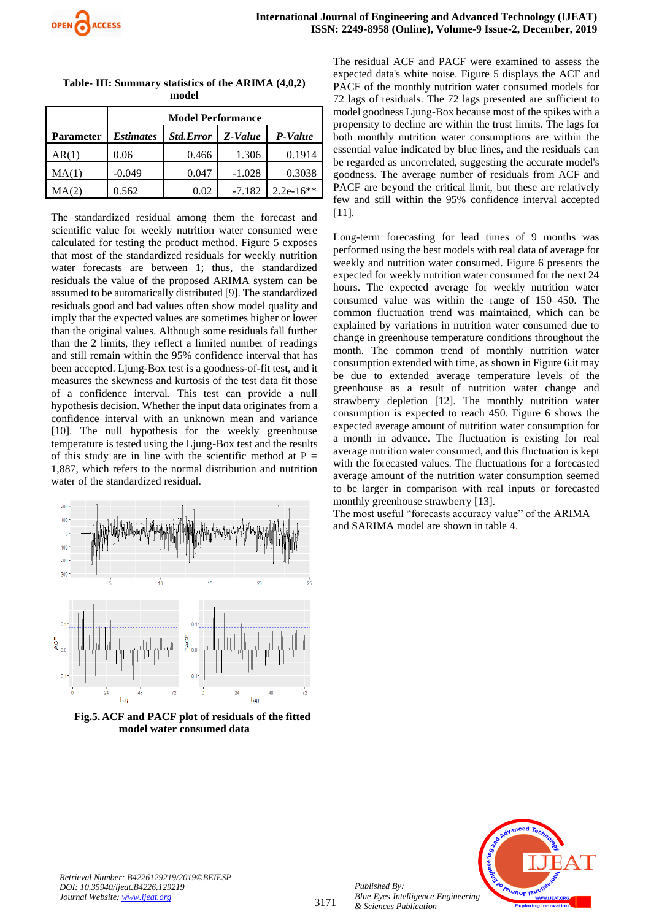|                  | <b>Model Performance</b> |                  |          |             |  |
|------------------|--------------------------|------------------|----------|-------------|--|
| <b>Parameter</b> | <b>Estimates</b>         | <b>Std.Error</b> | Z-Value  | P-Value     |  |
| AR(1)            | 0.06                     | 0.466            | 1.306    | 0.1914      |  |
| MA(1)            | $-0.049$                 | 0.047            | $-1.028$ | 0.3038      |  |
| MA(2)            | 0.562                    | 0.02             | $-7.182$ | $2.2e-16**$ |  |

**Table- III: Summary statistics of the ARIMA (4,0,2) model**

The standardized residual among them the forecast and scientific value for weekly nutrition water consumed were calculated for testing the product method. Figure 5 exposes that most of the standardized residuals for weekly nutrition water forecasts are between 1; thus, the standardized residuals the value of the proposed ARIMA system can be assumed to be automatically distributed [9]. The standardized residuals good and bad values often show model quality and imply that the expected values are sometimes higher or lower than the original values. Although some residuals fall further than the 2 limits, they reflect a limited number of readings and still remain within the 95% confidence interval that has been accepted. Ljung-Box test is a goodness-of-fit test, and it measures the skewness and kurtosis of the test data fit those of a confidence interval. This test can provide a null hypothesis decision. Whether the input data originates from a confidence interval with an unknown mean and variance [10]. The null hypothesis for the weekly greenhouse temperature is tested using the Ljung-Box test and the results of this study are in line with the scientific method at  $P =$ 1,887, which refers to the normal distribution and nutrition water of the standardized residual.



 **Fig.5. ACF and PACF plot of residuals of the fitted model water consumed data**

The residual ACF and PACF were examined to assess the expected data's white noise. Figure 5 displays the ACF and PACF of the monthly nutrition water consumed models for 72 lags of residuals. The 72 lags presented are sufficient to model goodness Ljung-Box because most of the spikes with a propensity to decline are within the trust limits. The lags for both monthly nutrition water consumptions are within the essential value indicated by blue lines, and the residuals can be regarded as uncorrelated, suggesting the accurate model's goodness. The average number of residuals from ACF and PACF are beyond the critical limit, but these are relatively few and still within the 95% confidence interval accepted [11].

Long-term forecasting for lead times of 9 months was performed using the best models with real data of average for weekly and nutrition water consumed. Figure 6 presents the expected for weekly nutrition water consumed for the next 24 hours. The expected average for weekly nutrition water consumed value was within the range of 150–450. The common fluctuation trend was maintained, which can be explained by variations in nutrition water consumed due to change in greenhouse temperature conditions throughout the month. The common trend of monthly nutrition water consumption extended with time, as shown in Figure 6.it may be due to extended average temperature levels of the greenhouse as a result of nutrition water change and strawberry depletion [12]. The monthly nutrition water consumption is expected to reach 450. Figure 6 shows the expected average amount of nutrition water consumption for a month in advance. The fluctuation is existing for real average nutrition water consumed, and this fluctuation is kept with the forecasted values. The fluctuations for a forecasted average amount of the nutrition water consumption seemed to be larger in comparison with real inputs or forecasted monthly greenhouse strawberry [13].

The most useful "forecasts accuracy value" of the ARIMA and SARIMA model are shown in table 4.



*Published By:*

*& Sciences Publication*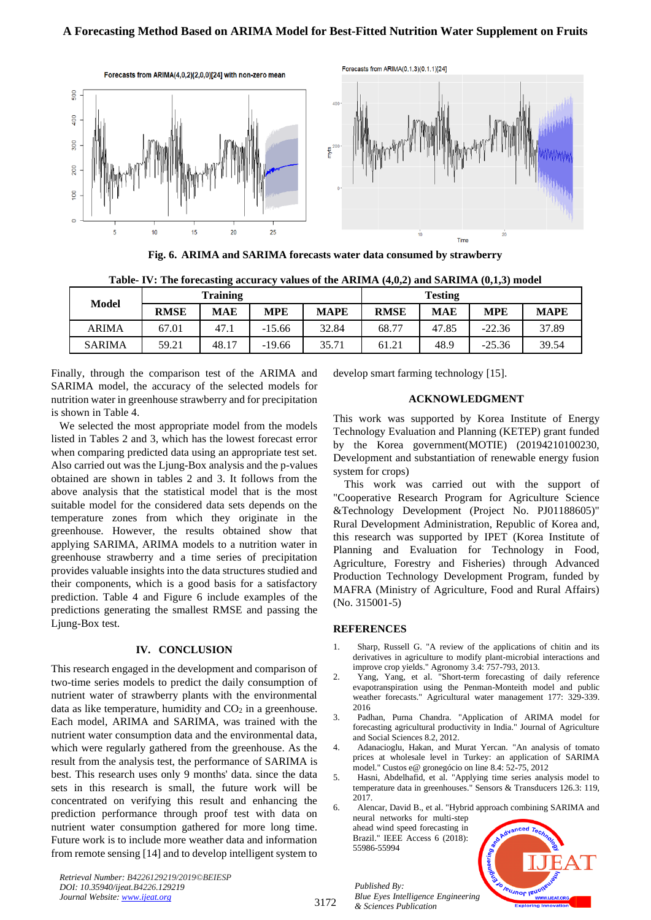

**Fig. 6. ARIMA and SARIMA forecasts water data consumed by strawberry**

|               |             | <b>Training</b> |            |             |             | <b>Testing</b> |            |             |
|---------------|-------------|-----------------|------------|-------------|-------------|----------------|------------|-------------|
| Model         | <b>RMSE</b> | <b>MAE</b>      | <b>MPE</b> | <b>MAPE</b> | <b>RMSE</b> | <b>MAE</b>     | <b>MPE</b> | <b>MAPE</b> |
| <b>ARIMA</b>  | 67.01       | 47.1            | $-15.66$   | 32.84       | 68.77       | 47.85          | $-22.36$   | 37.89       |
| <b>SARIMA</b> | 59.21       | 48.17           | $-19.66$   | 35.71       | 61.21       | 48.9           | $-25.36$   | 39.54       |

**Table- IV: The forecasting accuracy values of the ARIMA (4,0,2) and SARIMA (0,1,3) model**

Finally, through the comparison test of the ARIMA and SARIMA model, the accuracy of the selected models for nutrition water in greenhouse strawberry and for precipitation is shown in Table 4.

 We selected the most appropriate model from the models listed in Tables 2 and 3, which has the lowest forecast error when comparing predicted data using an appropriate test set. Also carried out was the Ljung-Box analysis and the p-values obtained are shown in tables 2 and 3. It follows from the above analysis that the statistical model that is the most suitable model for the considered data sets depends on the temperature zones from which they originate in the greenhouse. However, the results obtained show that applying SARIMA, ARIMA models to a nutrition water in greenhouse strawberry and a time series of precipitation provides valuable insights into the data structures studied and their components, which is a good basis for a satisfactory prediction. Table 4 and Figure 6 include examples of the predictions generating the smallest RMSE and passing the Ljung-Box test.

# **IV. CONCLUSION**

This research engaged in the development and comparison of two-time series models to predict the daily consumption of nutrient water of strawberry plants with the environmental data as like temperature, humidity and  $CO<sub>2</sub>$  in a greenhouse. Each model, ARIMA and SARIMA, was trained with the nutrient water consumption data and the environmental data, which were regularly gathered from the greenhouse. As the result from the analysis test, the performance of SARIMA is best. This research uses only 9 months' data. since the data sets in this research is small, the future work will be concentrated on verifying this result and enhancing the prediction performance through proof test with data on nutrient water consumption gathered for more long time. Future work is to include more weather data and information from remote sensing [14] and to develop intelligent system to develop smart farming technology [15].

## **ACKNOWLEDGMENT**

This work was supported by Korea Institute of Energy Technology Evaluation and Planning (KETEP) grant funded by the Korea government(MOTIE) (20194210100230, Development and substantiation of renewable energy fusion system for crops)

This work was carried out with the support of "Cooperative Research Program for Agriculture Science &Technology Development (Project No. PJ01188605)" Rural Development Administration, Republic of Korea and, this research was supported by IPET (Korea Institute of Planning and Evaluation for Technology in Food, Agriculture, Forestry and Fisheries) through Advanced Production Technology Development Program, funded by MAFRA (Ministry of Agriculture, Food and Rural Affairs) (No. 315001-5)

# **REFERENCES**

- 1. Sharp, Russell G. "A review of the applications of chitin and its derivatives in agriculture to modify plant-microbial interactions and improve crop yields." Agronomy 3.4: 757-793, 2013.
- 2. Yang, Yang, et al. "Short-term forecasting of daily reference evapotranspiration using the Penman-Monteith model and public weather forecasts." Agricultural water management 177: 329-339. 2016
- 3. Padhan, Purna Chandra. "Application of ARIMA model for forecasting agricultural productivity in India." Journal of Agriculture and Social Sciences 8.2, 2012.
- 4. Adanacioglu, Hakan, and Murat Yercan. "An analysis of tomato prices at wholesale level in Turkey: an application of SARIMA model." Custos e@ gronegócio on line 8.4: 52-75, 2012
- 5. Hasni, Abdelhafid, et al. "Applying time series analysis model to temperature data in greenhouses." Sensors & Transducers 126.3: 119, 2017.

6. Alencar, David B., et al. "Hybrid approach combining SARIMA and neural networks for multi-step

ahead wind speed forecasting in Brazil." IEEE Access 6 (2018): 55986-55994

*Published By:*

*& Sciences Publication* 



*Retrieval Number: B4226129219/2019©BEIESP DOI: 10.35940/ijeat.B4226.129219 Journal Website[: www.ijeat.org](http://www.ijeat.org/)*

3172